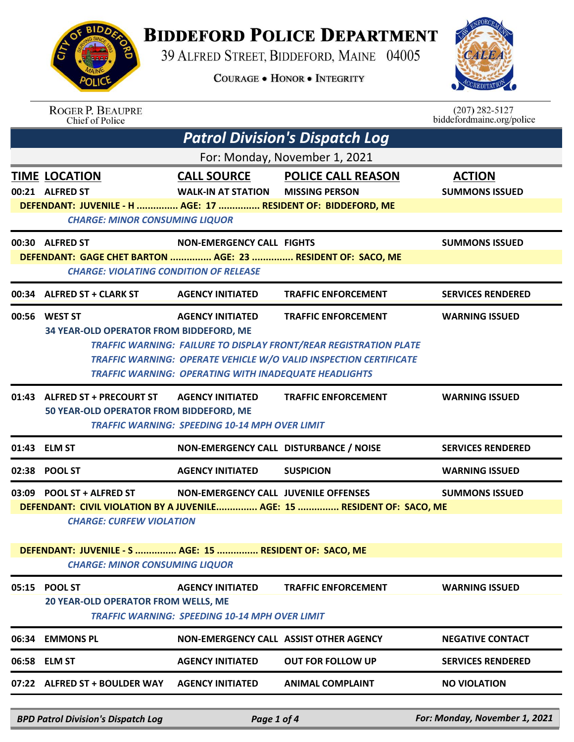

## **BIDDEFORD POLICE DEPARTMENT**

39 ALFRED STREET, BIDDEFORD, MAINE 04005

**COURAGE . HONOR . INTEGRITY** 



| <b>ROGER P. BEAUPRE</b><br>Chief of Police                                                                                      |                                                                                         |                                                                                                                                                                      | $(207)$ 282-5127<br>biddefordmaine.org/police |
|---------------------------------------------------------------------------------------------------------------------------------|-----------------------------------------------------------------------------------------|----------------------------------------------------------------------------------------------------------------------------------------------------------------------|-----------------------------------------------|
|                                                                                                                                 |                                                                                         | <b>Patrol Division's Dispatch Log</b>                                                                                                                                |                                               |
|                                                                                                                                 |                                                                                         | For: Monday, November 1, 2021                                                                                                                                        |                                               |
| <b>TIME LOCATION</b><br>00:21 ALFRED ST<br>DEFENDANT: JUVENILE - H  AGE: 17  RESIDENT OF: BIDDEFORD, ME                         | <b>CALL SOURCE</b><br><b>WALK-IN AT STATION</b>                                         | <b>POLICE CALL REASON</b><br><b>MISSING PERSON</b>                                                                                                                   | <b>ACTION</b><br><b>SUMMONS ISSUED</b>        |
| <b>CHARGE: MINOR CONSUMING LIQUOR</b>                                                                                           |                                                                                         |                                                                                                                                                                      |                                               |
| 00:30 ALFRED ST<br>DEFENDANT: GAGE CHET BARTON  AGE: 23  RESIDENT OF: SACO, ME<br><b>CHARGE: VIOLATING CONDITION OF RELEASE</b> | <b>NON-EMERGENCY CALL FIGHTS</b>                                                        |                                                                                                                                                                      | <b>SUMMONS ISSUED</b>                         |
| 00:34 ALFRED ST + CLARK ST                                                                                                      | <b>AGENCY INITIATED</b>                                                                 | <b>TRAFFIC ENFORCEMENT</b>                                                                                                                                           | <b>SERVICES RENDERED</b>                      |
| 00:56 WEST ST<br>34 YEAR-OLD OPERATOR FROM BIDDEFORD, ME                                                                        | <b>AGENCY INITIATED</b><br><b>TRAFFIC WARNING: OPERATING WITH INADEQUATE HEADLIGHTS</b> | <b>TRAFFIC ENFORCEMENT</b><br>TRAFFIC WARNING: FAILURE TO DISPLAY FRONT/REAR REGISTRATION PLATE<br>TRAFFIC WARNING: OPERATE VEHICLE W/O VALID INSPECTION CERTIFICATE | <b>WARNING ISSUED</b>                         |
| 01:43 ALFRED ST + PRECOURT ST<br>50 YEAR-OLD OPERATOR FROM BIDDEFORD, ME                                                        | <b>AGENCY INITIATED</b><br><b>TRAFFIC WARNING: SPEEDING 10-14 MPH OVER LIMIT</b>        | <b>TRAFFIC ENFORCEMENT</b>                                                                                                                                           | <b>WARNING ISSUED</b>                         |
| 01:43 ELM ST                                                                                                                    | NON-EMERGENCY CALL DISTURBANCE / NOISE                                                  |                                                                                                                                                                      | <b>SERVICES RENDERED</b>                      |
| 02:38 POOL ST                                                                                                                   | <b>AGENCY INITIATED</b>                                                                 | <b>SUSPICION</b>                                                                                                                                                     | <b>WARNING ISSUED</b>                         |
| 03:09 POOL ST + ALFRED ST<br><b>CHARGE: CURFEW VIOLATION</b>                                                                    | <b>NON-EMERGENCY CALL JUVENILE OFFENSES</b>                                             | DEFENDANT: CIVIL VIOLATION BY A JUVENILE AGE: 15  RESIDENT OF: SACO, ME                                                                                              | <b>SUMMONS ISSUED</b>                         |
| DEFENDANT: JUVENILE - S  AGE: 15  RESIDENT OF: SACO, ME<br><b>CHARGE: MINOR CONSUMING LIQUOR</b>                                |                                                                                         |                                                                                                                                                                      |                                               |
| 05:15 POOL ST<br>20 YEAR-OLD OPERATOR FROM WELLS, ME                                                                            | <b>AGENCY INITIATED</b><br><b>TRAFFIC WARNING: SPEEDING 10-14 MPH OVER LIMIT</b>        | <b>TRAFFIC ENFORCEMENT</b>                                                                                                                                           | <b>WARNING ISSUED</b>                         |
| 06:34 EMMONS PL                                                                                                                 | NON-EMERGENCY CALL ASSIST OTHER AGENCY                                                  |                                                                                                                                                                      | <b>NEGATIVE CONTACT</b>                       |
|                                                                                                                                 |                                                                                         |                                                                                                                                                                      |                                               |
| 06:58 ELM ST                                                                                                                    | <b>AGENCY INITIATED</b>                                                                 | <b>OUT FOR FOLLOW UP</b>                                                                                                                                             | <b>SERVICES RENDERED</b>                      |
| 07:22 ALFRED ST + BOULDER WAY                                                                                                   | <b>AGENCY INITIATED</b>                                                                 | <b>ANIMAL COMPLAINT</b>                                                                                                                                              | <b>NO VIOLATION</b>                           |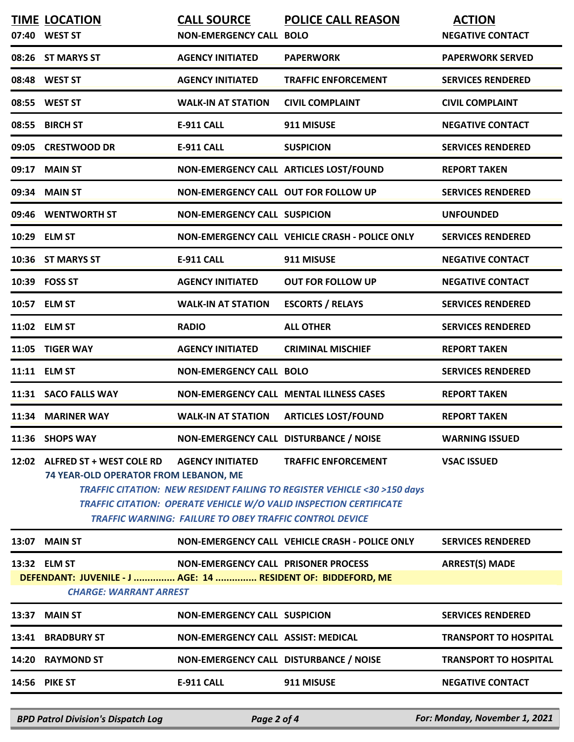|       | <b>TIME LOCATION</b>                                                                                                           | <b>CALL SOURCE</b>                                             | <b>POLICE CALL REASON</b>                                                 | <b>ACTION</b>                |  |
|-------|--------------------------------------------------------------------------------------------------------------------------------|----------------------------------------------------------------|---------------------------------------------------------------------------|------------------------------|--|
|       | 07:40 WEST ST                                                                                                                  | <b>NON-EMERGENCY CALL BOLO</b>                                 |                                                                           | <b>NEGATIVE CONTACT</b>      |  |
|       | 08:26 ST MARYS ST                                                                                                              | <b>AGENCY INITIATED</b>                                        | <b>PAPERWORK</b>                                                          | <b>PAPERWORK SERVED</b>      |  |
|       | 08:48 WEST ST                                                                                                                  | <b>AGENCY INITIATED</b>                                        | <b>TRAFFIC ENFORCEMENT</b>                                                | <b>SERVICES RENDERED</b>     |  |
|       | 08:55 WEST ST                                                                                                                  | <b>WALK-IN AT STATION</b>                                      | <b>CIVIL COMPLAINT</b>                                                    | <b>CIVIL COMPLAINT</b>       |  |
| 08:55 | <b>BIRCH ST</b>                                                                                                                | <b>E-911 CALL</b>                                              | 911 MISUSE                                                                | <b>NEGATIVE CONTACT</b>      |  |
|       | 09:05 CRESTWOOD DR                                                                                                             | <b>E-911 CALL</b>                                              | <b>SUSPICION</b>                                                          | <b>SERVICES RENDERED</b>     |  |
| 09:17 | <b>MAIN ST</b>                                                                                                                 |                                                                | NON-EMERGENCY CALL ARTICLES LOST/FOUND                                    | <b>REPORT TAKEN</b>          |  |
| 09:34 | <b>MAIN ST</b>                                                                                                                 | NON-EMERGENCY CALL OUT FOR FOLLOW UP                           |                                                                           | <b>SERVICES RENDERED</b>     |  |
|       | 09:46 WENTWORTH ST                                                                                                             | <b>NON-EMERGENCY CALL SUSPICION</b>                            |                                                                           | <b>UNFOUNDED</b>             |  |
|       | 10:29 ELM ST                                                                                                                   |                                                                | NON-EMERGENCY CALL VEHICLE CRASH - POLICE ONLY                            | <b>SERVICES RENDERED</b>     |  |
|       | 10:36 ST MARYS ST                                                                                                              | <b>E-911 CALL</b>                                              | 911 MISUSE                                                                | <b>NEGATIVE CONTACT</b>      |  |
|       | 10:39 FOSS ST                                                                                                                  | <b>AGENCY INITIATED</b>                                        | <b>OUT FOR FOLLOW UP</b>                                                  | <b>NEGATIVE CONTACT</b>      |  |
|       | 10:57 ELM ST                                                                                                                   | <b>WALK-IN AT STATION</b>                                      | <b>ESCORTS / RELAYS</b>                                                   | <b>SERVICES RENDERED</b>     |  |
|       | 11:02 ELM ST                                                                                                                   | <b>RADIO</b>                                                   | <b>ALL OTHER</b>                                                          | <b>SERVICES RENDERED</b>     |  |
|       | 11:05 TIGER WAY                                                                                                                | <b>AGENCY INITIATED</b>                                        | <b>CRIMINAL MISCHIEF</b>                                                  | <b>REPORT TAKEN</b>          |  |
|       | 11:11 ELM ST                                                                                                                   | <b>NON-EMERGENCY CALL BOLO</b>                                 |                                                                           | <b>SERVICES RENDERED</b>     |  |
|       | 11:31 SACO FALLS WAY                                                                                                           |                                                                | <b>NON-EMERGENCY CALL MENTAL ILLNESS CASES</b>                            | <b>REPORT TAKEN</b>          |  |
| 11:34 | <b>MARINER WAY</b>                                                                                                             | <b>WALK-IN AT STATION</b>                                      | <b>ARTICLES LOST/FOUND</b>                                                | <b>REPORT TAKEN</b>          |  |
|       | 11:36 SHOPS WAY                                                                                                                | NON-EMERGENCY CALL DISTURBANCE / NOISE                         |                                                                           | <b>WARNING ISSUED</b>        |  |
|       | 12:02 ALFRED ST + WEST COLE RD                                                                                                 | <b>AGENCY INITIATED</b>                                        | <b>TRAFFIC ENFORCEMENT</b>                                                | <b>VSAC ISSUED</b>           |  |
|       | 74 YEAR-OLD OPERATOR FROM LEBANON, ME<br><b>TRAFFIC CITATION: NEW RESIDENT FAILING TO REGISTER VEHICLE &lt;30 &gt;150 days</b> |                                                                |                                                                           |                              |  |
|       |                                                                                                                                |                                                                | <b>TRAFFIC CITATION: OPERATE VEHICLE W/O VALID INSPECTION CERTIFICATE</b> |                              |  |
|       |                                                                                                                                | <b>TRAFFIC WARNING: FAILURE TO OBEY TRAFFIC CONTROL DEVICE</b> |                                                                           |                              |  |
| 13:07 | <b>MAIN ST</b>                                                                                                                 |                                                                | NON-EMERGENCY CALL VEHICLE CRASH - POLICE ONLY                            | <b>SERVICES RENDERED</b>     |  |
|       | 13:32 ELM ST                                                                                                                   | <b>NON-EMERGENCY CALL PRISONER PROCESS</b>                     |                                                                           | <b>ARREST(S) MADE</b>        |  |
|       | DEFENDANT: JUVENILE - J  AGE: 14  RESIDENT OF: BIDDEFORD, ME<br><b>CHARGE: WARRANT ARREST</b>                                  |                                                                |                                                                           |                              |  |
|       |                                                                                                                                |                                                                |                                                                           |                              |  |
| 13:37 | <b>MAIN ST</b>                                                                                                                 | <b>NON-EMERGENCY CALL SUSPICION</b>                            |                                                                           | <b>SERVICES RENDERED</b>     |  |
| 13:41 | <b>BRADBURY ST</b>                                                                                                             | NON-EMERGENCY CALL ASSIST: MEDICAL                             |                                                                           | <b>TRANSPORT TO HOSPITAL</b> |  |
| 14:20 | <b>RAYMOND ST</b>                                                                                                              | NON-EMERGENCY CALL DISTURBANCE / NOISE                         |                                                                           | <b>TRANSPORT TO HOSPITAL</b> |  |
|       | <b>14:56 PIKE ST</b>                                                                                                           | E-911 CALL                                                     | 911 MISUSE                                                                | <b>NEGATIVE CONTACT</b>      |  |
|       |                                                                                                                                |                                                                |                                                                           |                              |  |

*BPD Patrol Division's Dispatch Log Page 2 of 4 For: Monday, November 1, 2021*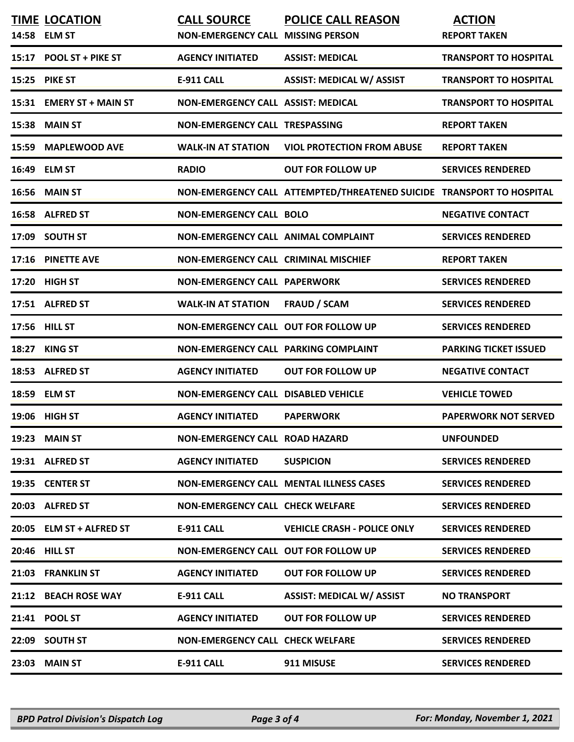|       | <b>TIME LOCATION</b><br>14:58 ELM ST | <b>CALL SOURCE</b><br><b>NON-EMERGENCY CALL MISSING PERSON</b> | <b>POLICE CALL REASON</b>                                             | <b>ACTION</b><br><b>REPORT TAKEN</b> |
|-------|--------------------------------------|----------------------------------------------------------------|-----------------------------------------------------------------------|--------------------------------------|
|       | 15:17 POOL ST + PIKE ST              | <b>AGENCY INITIATED</b>                                        | <b>ASSIST: MEDICAL</b>                                                | <b>TRANSPORT TO HOSPITAL</b>         |
|       | 15:25 PIKE ST                        | <b>E-911 CALL</b>                                              | <b>ASSIST: MEDICAL W/ ASSIST</b>                                      | <b>TRANSPORT TO HOSPITAL</b>         |
|       | 15:31 EMERY ST + MAIN ST             | NON-EMERGENCY CALL ASSIST: MEDICAL                             |                                                                       | <b>TRANSPORT TO HOSPITAL</b>         |
|       | 15:38 MAIN ST                        | NON-EMERGENCY CALL TRESPASSING                                 |                                                                       | <b>REPORT TAKEN</b>                  |
|       | 15:59 MAPLEWOOD AVE                  | <b>WALK-IN AT STATION</b>                                      | <b>VIOL PROTECTION FROM ABUSE</b>                                     | <b>REPORT TAKEN</b>                  |
|       | 16:49 ELM ST                         | <b>RADIO</b>                                                   | <b>OUT FOR FOLLOW UP</b>                                              | <b>SERVICES RENDERED</b>             |
|       | <b>16:56 MAIN ST</b>                 |                                                                | NON-EMERGENCY CALL ATTEMPTED/THREATENED SUICIDE TRANSPORT TO HOSPITAL |                                      |
|       | 16:58 ALFRED ST                      | <b>NON-EMERGENCY CALL BOLO</b>                                 |                                                                       | <b>NEGATIVE CONTACT</b>              |
|       | 17:09 SOUTH ST                       | <b>NON-EMERGENCY CALL ANIMAL COMPLAINT</b>                     |                                                                       | <b>SERVICES RENDERED</b>             |
|       | 17:16 PINETTE AVE                    | <b>NON-EMERGENCY CALL CRIMINAL MISCHIEF</b>                    |                                                                       | <b>REPORT TAKEN</b>                  |
|       | 17:20 HIGH ST                        | <b>NON-EMERGENCY CALL PAPERWORK</b>                            |                                                                       | <b>SERVICES RENDERED</b>             |
|       | 17:51 ALFRED ST                      | <b>WALK-IN AT STATION</b>                                      | <b>FRAUD / SCAM</b>                                                   | <b>SERVICES RENDERED</b>             |
|       | 17:56 HILL ST                        | NON-EMERGENCY CALL OUT FOR FOLLOW UP                           |                                                                       | <b>SERVICES RENDERED</b>             |
| 18:27 | <b>KING ST</b>                       | NON-EMERGENCY CALL PARKING COMPLAINT                           |                                                                       | <b>PARKING TICKET ISSUED</b>         |
|       | 18:53 ALFRED ST                      | <b>AGENCY INITIATED</b>                                        | <b>OUT FOR FOLLOW UP</b>                                              | <b>NEGATIVE CONTACT</b>              |
|       | 18:59 ELM ST                         | <b>NON-EMERGENCY CALL DISABLED VEHICLE</b>                     |                                                                       | <b>VEHICLE TOWED</b>                 |
|       | 19:06 HIGH ST                        | <b>AGENCY INITIATED</b>                                        | <b>PAPERWORK</b>                                                      | <b>PAPERWORK NOT SERVED</b>          |
|       | 19:23 MAIN ST                        | <b>NON-EMERGENCY CALL ROAD HAZARD</b>                          |                                                                       | <b>UNFOUNDED</b>                     |
|       | 19:31 ALFRED ST                      | <b>AGENCY INITIATED</b>                                        | <b>SUSPICION</b>                                                      | <b>SERVICES RENDERED</b>             |
|       | 19:35 CENTER ST                      |                                                                | <b>NON-EMERGENCY CALL MENTAL ILLNESS CASES</b>                        | <b>SERVICES RENDERED</b>             |
|       | 20:03 ALFRED ST                      | <b>NON-EMERGENCY CALL CHECK WELFARE</b>                        |                                                                       | <b>SERVICES RENDERED</b>             |
|       | 20:05 ELM ST + ALFRED ST             | <b>E-911 CALL</b>                                              | <b>VEHICLE CRASH - POLICE ONLY</b>                                    | <b>SERVICES RENDERED</b>             |
|       | 20:46 HILL ST                        | NON-EMERGENCY CALL OUT FOR FOLLOW UP                           |                                                                       | <b>SERVICES RENDERED</b>             |
|       | 21:03 FRANKLIN ST                    | <b>AGENCY INITIATED</b>                                        | <b>OUT FOR FOLLOW UP</b>                                              | <b>SERVICES RENDERED</b>             |
|       | 21:12 BEACH ROSE WAY                 | <b>E-911 CALL</b>                                              | <b>ASSIST: MEDICAL W/ ASSIST</b>                                      | <b>NO TRANSPORT</b>                  |
|       | 21:41 POOL ST                        | <b>AGENCY INITIATED</b>                                        | <b>OUT FOR FOLLOW UP</b>                                              | <b>SERVICES RENDERED</b>             |
|       | 22:09 SOUTH ST                       | <b>NON-EMERGENCY CALL CHECK WELFARE</b>                        |                                                                       | <b>SERVICES RENDERED</b>             |
|       | 23:03 MAIN ST                        | <b>E-911 CALL</b>                                              | 911 MISUSE                                                            | <b>SERVICES RENDERED</b>             |